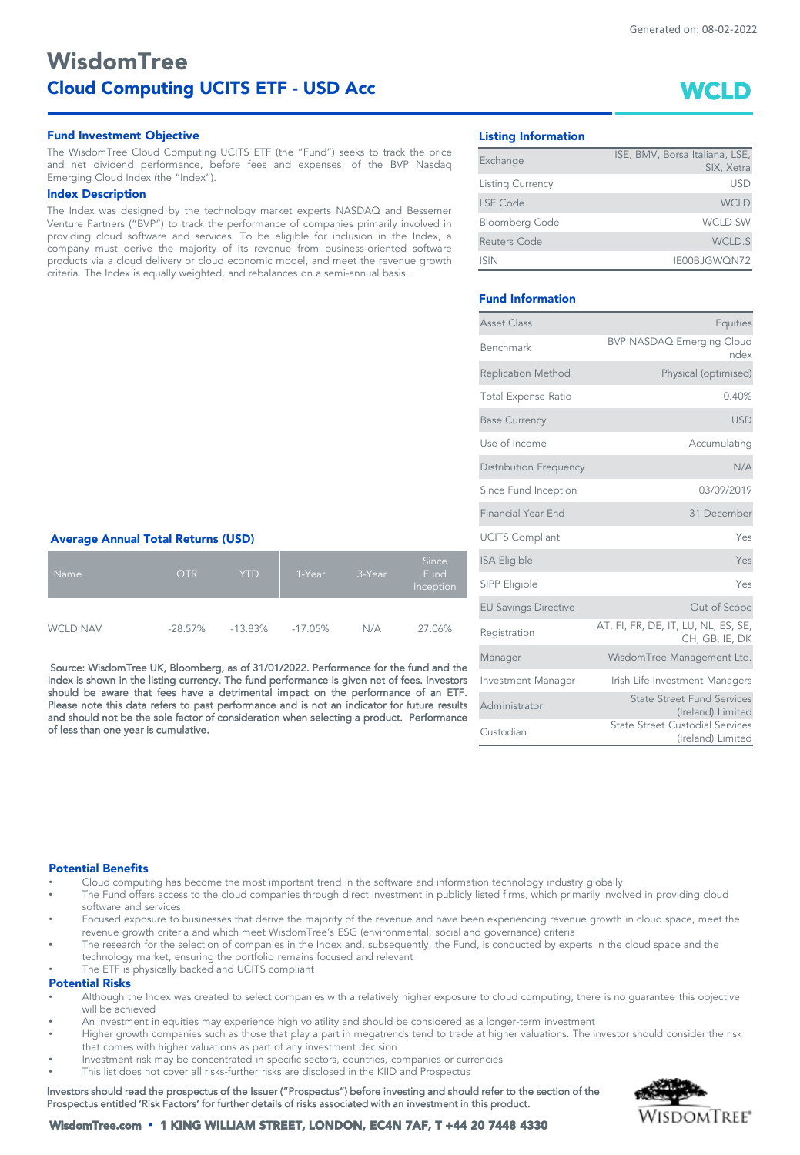*WCLD*

# *WisdomTree Cloud Computing UCITS ETF - USD Acc*

# *Fund Investment Objective Listing Information*

The WisdomTree Cloud Computing UCITS ETF (the "Fund") seeks to track the price and net dividend performance, before fees and expenses, of the BVP Nasdaq Emerging Cloud Index (the "Index").

#### *Index Description*

The Index was designed by the technology market experts NASDAQ and Bessemer Venture Partners ("BVP") to track the performance of companies primarily involved in providing cloud software and services. To be eligible for inclusion in the Index, a company must derive the majority of its revenue from business-oriented software products via a cloud delivery or cloud economic model, and meet the revenue growth criteria. The Index is equally weighted, and rebalances on a semi-annual basis.

| Exchange                | ISE, BMV, Borsa Italiana, LSE, |
|-------------------------|--------------------------------|
|                         | SIX, Xetra                     |
| <b>Listing Currency</b> | USD                            |
| LSE Code                | <b>WCLD</b>                    |
| <b>Bloomberg Code</b>   | <b>WCLD SW</b>                 |
| Reuters Code            | WCLD.S                         |
| <b>ISIN</b>             | IE00BJGWQN72                   |

# *Fund Information*

| Asset Class                   | Equities                                                    |
|-------------------------------|-------------------------------------------------------------|
| <b>Benchmark</b>              | <b>BVP NASDAQ Emerging Cloud</b><br>Index                   |
| <b>Replication Method</b>     | Physical (optimised)                                        |
| <b>Total Expense Ratio</b>    | 0.40%                                                       |
| <b>Base Currency</b>          | <b>USD</b>                                                  |
| Use of Income                 | Accumulating                                                |
| <b>Distribution Frequency</b> | N/A                                                         |
| Since Fund Inception          | 03/09/2019                                                  |
| <b>Financial Year End</b>     | 31 December                                                 |
| <b>UCITS Compliant</b>        | Yes                                                         |
| <b>ISA Eligible</b>           | Yes                                                         |
| SIPP Eligible                 | Yes                                                         |
| <b>EU Savings Directive</b>   | Out of Scope                                                |
| Registration                  | AT, FI, FR, DE, IT, LU, NL, ES, SE,<br>CH, GB, IE, DK       |
| Manager                       | WisdomTree Management Ltd.                                  |
| Investment Manager            | Irish Life Investment Managers                              |
| Administrator                 | <b>State Street Fund Services</b><br>(Ireland) Limited      |
| Custodian                     | <b>State Street Custodial Services</b><br>(Ireland) Limited |

### *Average Annual Total Returns (USD)*

| <b>Name</b>     | <b>QTR</b> | <b>YTD</b> | 1-Year  | 3-Year | <b>Since</b><br>Fund<br>Inception |
|-----------------|------------|------------|---------|--------|-----------------------------------|
| <b>WCLD NAV</b> | $-28.57\%$ | $-13.83\%$ | -17.05% | N/A    | 27.06%                            |

Source: WisdomTree UK, Bloomberg, as of 31/01/2022. Performance for the fund and the index is shown in the listing currency. The fund performance is given net of fees. Investors should be aware that fees have a detrimental impact on the performance of an ETF. Please note this data refers to past performance and is not an indicator for future results and should not be the sole factor of consideration when selecting a product. Performance of less than one year is cumulative.

# *Potential Benefits*

- Cloud computing has become the most important trend in the software and information technology industry globally
- The Fund offers access to the cloud companies through direct investment in publicly listed firms, which primarily involved in providing cloud software and services
- Focused exposure to businesses that derive the majority of the revenue and have been experiencing revenue growth in cloud space, meet the revenue growth criteria and which meet WisdomTree's ESG (environmental, social and governance) criteria
- The research for the selection of companies in the Index and, subsequently, the Fund, is conducted by experts in the cloud space and the technology market, ensuring the portfolio remains focused and relevant
- The ETF is physically backed and UCITS compliant

# *Potential Risks*

- Although the Index was created to select companies with a relatively higher exposure to cloud computing, there is no guarantee this objective will be achieved
- An investment in equities may experience high volatility and should be considered as a longer-term investment
- Higher growth companies such as those that play a part in megatrends tend to trade at higher valuations. The investor should consider the risk that comes with higher valuations as part of any investment decision
- Investment risk may be concentrated in specific sectors, countries, companies or currencies
- This list does not cover all risks-further risks are disclosed in the KIID and Prospectus

Investors should read the prospectus of the Issuer ("Prospectus") before investing and should refer to the section of the Prospectus entitled 'Risk Factors' for further details of risks associated with an investment in this product.



*WisdomTree.com* ▪ *1 KING WILLIAM STREET, LONDON, EC4N 7AF, T +44 20 7448 4330*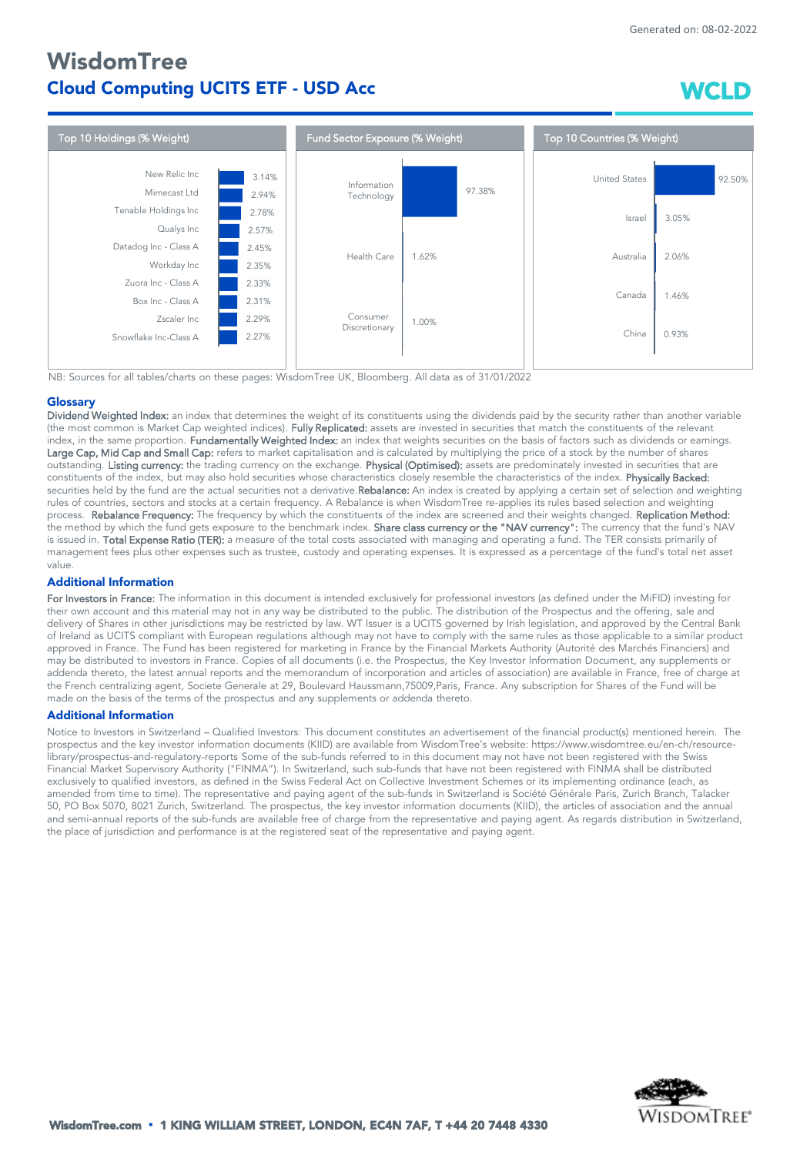# *WisdomTree Cloud Computing UCITS ETF - USD Acc*

*WCLD*



NB: Sources for all tables/charts on these pages: WisdomTree UK, Bloomberg. All data as of 31/01/2022

# *Glossary*

Dividend Weighted Index: an index that determines the weight of its constituents using the dividends paid by the security rather than another variable (the most common is Market Cap weighted indices). Fully Replicated: assets are invested in securities that match the constituents of the relevant index, in the same proportion. Fundamentally Weighted Index: an index that weights securities on the basis of factors such as dividends or earnings. Large Cap, Mid Cap and Small Cap: refers to market capitalisation and is calculated by multiplying the price of a stock by the number of shares outstanding. Listing currency: the trading currency on the exchange. Physical (Optimised): assets are predominately invested in securities that are constituents of the index, but may also hold securities whose characteristics closely resemble the characteristics of the index. Physically Backed: securities held by the fund are the actual securities not a derivative.Rebalance: An index is created by applying a certain set of selection and weighting rules of countries, sectors and stocks at a certain frequency. A Rebalance is when WisdomTree re-applies its rules based selection and weighting process. Rebalance Frequency: The frequency by which the constituents of the index are screened and their weights changed. Replication Method: .<br>the method by which the fund gets exposure to the benchmark index. **Share class currency or the "NAV currency":** The currency that the fund's NAV is issued in. Total Expense Ratio (TER): a measure of the total costs associated with managing and operating a fund. The TER consists primarily of management fees plus other expenses such as trustee, custody and operating expenses. It is expressed as a percentage of the fund's total net asset value.

# *Additional Information*

For Investors in France: The information in this document is intended exclusively for professional investors (as defined under the MiFID) investing for their own account and this material may not in any way be distributed to the public. The distribution of the Prospectus and the offering, sale and delivery of Shares in other jurisdictions may be restricted by law. WT Issuer is a UCITS governed by Irish legislation, and approved by the Central Bank of Ireland as UCITS compliant with European regulations although may not have to comply with the same rules as those applicable to a similar product approved in France. The Fund has been registered for marketing in France by the Financial Markets Authority (Autorité des Marchés Financiers) and may be distributed to investors in France. Copies of all documents (i.e. the Prospectus, the Key Investor Information Document, any supplements or addenda thereto, the latest annual reports and the memorandum of incorporation and articles of association) are available in France, free of charge at the French centralizing agent, Societe Generale at 29, Boulevard Haussmann,75009,Paris, France. Any subscription for Shares of the Fund will be made on the basis of the terms of the prospectus and any supplements or addenda thereto.

## *Additional Information*

Notice to Investors in Switzerland – Qualified Investors: This document constitutes an advertisement of the financial product(s) mentioned herein. The prospectus and the key investor information documents (KIID) are available from WisdomTree's website: https://www.wisdomtree.eu/en-ch/resourcelibrary/prospectus-and-regulatory-reports Some of the sub-funds referred to in this document may not have not been registered with the Swiss Financial Market Supervisory Authority ("FINMA"). In Switzerland, such sub-funds that have not been registered with FINMA shall be distributed exclusively to qualified investors, as defined in the Swiss Federal Act on Collective Investment Schemes or its implementing ordinance (each, as amended from time to time). The representative and paying agent of the sub-funds in Switzerland is Société Générale Paris, Zurich Branch, Talacker 50, PO Box 5070, 8021 Zurich, Switzerland. The prospectus, the key investor information documents (KIID), the articles of association and the annual and semi-annual reports of the sub-funds are available free of charge from the representative and paying agent. As regards distribution in Switzerland, the place of jurisdiction and performance is at the registered seat of the representative and paying agent.